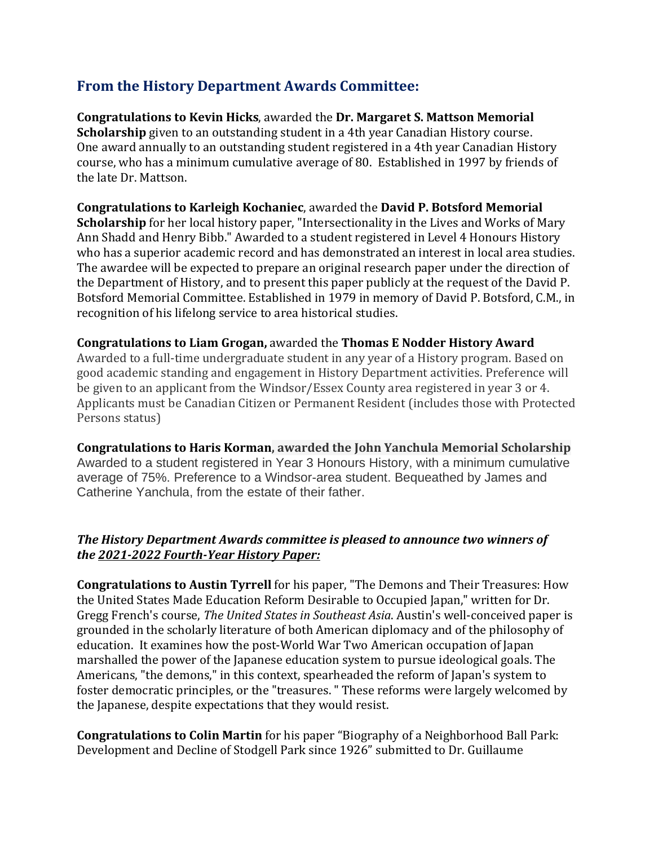## **From the History Department Awards Committee:**

**Congratulations to Kevin Hicks**, awarded the **Dr. Margaret S. Mattson Memorial Scholarship** given to an outstanding student in a 4th year Canadian History course. One award annually to an outstanding student registered in a 4th year Canadian History course, who has a minimum cumulative average of 80. Established in 1997 by friends of the late Dr. Mattson.

**Congratulations to Karleigh Kochaniec**, awarded the **David P. Botsford Memorial Scholarship** for her local history paper, "Intersectionality in the Lives and Works of Mary Ann Shadd and Henry Bibb." Awarded to a student registered in Level 4 Honours History who has a superior academic record and has demonstrated an interest in local area studies. The awardee will be expected to prepare an original research paper under the direction of the Department of History, and to present this paper publicly at the request of the David P. Botsford Memorial Committee. Established in 1979 in memory of David P. Botsford, C.M., in recognition of his lifelong service to area historical studies.

## **Congratulations to Liam Grogan,** awarded the **Thomas E Nodder History Award**

Awarded to a full-time undergraduate student in any year of a History program. Based on good academic standing and engagement in History Department activities. Preference will be given to an applicant from the Windsor/Essex County area registered in year 3 or 4. Applicants must be Canadian Citizen or Permanent Resident (includes those with Protected Persons status)

## **Congratulations to Haris Korman, awarded the John Yanchula Memorial Scholarship**

Awarded to a student registered in Year 3 Honours History, with a minimum cumulative average of 75%. Preference to a Windsor-area student. Bequeathed by James and Catherine Yanchula, from the estate of their father.

## *The History Department Awards committee is pleased to announce two winners of the 2021-2022 Fourth-Year History Paper:*

**Congratulations to Austin Tyrrell** for his paper, "The Demons and Their Treasures: How the United States Made Education Reform Desirable to Occupied Japan," written for Dr. Gregg French's course, *The United States in Southeast Asia*. Austin's well-conceived paper is grounded in the scholarly literature of both American diplomacy and of the philosophy of education. It examines how the post-World War Two American occupation of Japan marshalled the power of the Japanese education system to pursue ideological goals. The Americans, "the demons," in this context, spearheaded the reform of Japan's system to foster democratic principles, or the "treasures. " These reforms were largely welcomed by the Japanese, despite expectations that they would resist.

**Congratulations to Colin Martin** for his paper "Biography of a Neighborhood Ball Park: Development and Decline of Stodgell Park since 1926" submitted to Dr. Guillaume